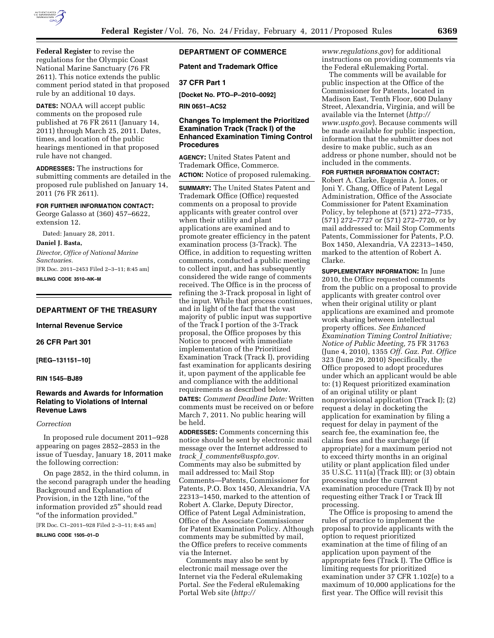

**Federal Register** to revise the regulations for the Olympic Coast National Marine Sanctuary (76 FR 2611). This notice extends the public comment period stated in that proposed rule by an additional 10 days.

**DATES:** NOAA will accept public comments on the proposed rule published at 76 FR 2611 (January 14, 2011) through March 25, 2011. Dates, times, and location of the public hearings mentioned in that proposed rule have not changed.

**ADDRESSES:** The instructions for submitting comments are detailed in the proposed rule published on January 14, 2011 (76 FR 2611).

### **FOR FURTHER INFORMATION CONTACT:**

George Galasso at (360) 457–6622, extension 12.

Dated: January 28, 2011.

**Daniel J. Basta,** 

*Director, Office of National Marine Sanctuaries.*  [FR Doc. 2011–2453 Filed 2–3–11; 8:45 am]

**BILLING CODE 3510–NK–M** 

## **DEPARTMENT OF THE TREASURY**

**Internal Revenue Service** 

### **26 CFR Part 301**

**[REG–131151–10]** 

### **RIN 1545–BJ89**

## **Rewards and Awards for Information Relating to Violations of Internal Revenue Laws**

#### *Correction*

In proposed rule document 2011–928 appearing on pages 2852–2853 in the issue of Tuesday, January 18, 2011 make the following correction:

On page 2852, in the third column, in the second paragraph under the heading Background and Explanation of Provision, in the 12th line, ''of the information provided z5'' should read ''of the information provided.''

[FR Doc. C1–2011–928 Filed 2–3–11; 8:45 am]

**BILLING CODE 1505–01–D** 

## **DEPARTMENT OF COMMERCE**

**Patent and Trademark Office** 

### **37 CFR Part 1**

**[Docket No. PTO–P–2010–0092]** 

**RIN 0651–AC52** 

## **Changes To Implement the Prioritized Examination Track (Track I) of the Enhanced Examination Timing Control Procedures**

**AGENCY:** United States Patent and Trademark Office, Commerce. **ACTION:** Notice of proposed rulemaking.

**SUMMARY:** The United States Patent and Trademark Office (Office) requested comments on a proposal to provide applicants with greater control over when their utility and plant applications are examined and to promote greater efficiency in the patent examination process (3-Track). The Office, in addition to requesting written comments, conducted a public meeting to collect input, and has subsequently considered the wide range of comments received. The Office is in the process of refining the 3-Track proposal in light of the input. While that process continues, and in light of the fact that the vast majority of public input was supportive of the Track I portion of the 3-Track proposal, the Office proposes by this Notice to proceed with immediate implementation of the Prioritized Examination Track (Track I), providing fast examination for applicants desiring it, upon payment of the applicable fee and compliance with the additional requirements as described below. **DATES:** *Comment Deadline Date:* Written comments must be received on or before March 7, 2011. No public hearing will be held.

**ADDRESSES:** Comments concerning this notice should be sent by electronic mail message over the Internet addressed to *track*\_*I*\_*[comments@uspto.gov.](mailto:track_I_comments@uspto.gov)*  Comments may also be submitted by mail addressed to: Mail Stop Comments—Patents, Commissioner for Patents, P.O. Box 1450, Alexandria, VA 22313–1450, marked to the attention of Robert A. Clarke, Deputy Director, Office of Patent Legal Administration, Office of the Associate Commissioner for Patent Examination Policy. Although comments may be submitted by mail, the Office prefers to receive comments via the Internet.

Comments may also be sent by electronic mail message over the Internet via the Federal eRulemaking Portal. *See* the Federal eRulemaking Portal Web site (*[http://](http://www.regulations.gov)* 

*[www.regulations.gov](http://www.regulations.gov)*) for additional instructions on providing comments via the Federal eRulemaking Portal.

The comments will be available for public inspection at the Office of the Commissioner for Patents, located in Madison East, Tenth Floor, 600 Dulany Street, Alexandria, Virginia, and will be available via the Internet (*[http://](http://www.uspto.gov) [www.uspto.gov](http://www.uspto.gov)*). Because comments will be made available for public inspection, information that the submitter does not desire to make public, such as an address or phone number, should not be included in the comments.

**FOR FURTHER INFORMATION CONTACT:** 

Robert A. Clarke, Eugenia A. Jones, or Joni Y. Chang, Office of Patent Legal Administration, Office of the Associate Commissioner for Patent Examination Policy, by telephone at (571) 272–7735, (571) 272–7727 or (571) 272–7720, or by mail addressed to: Mail Stop Comments Patents, Commissioner for Patents, P.O. Box 1450, Alexandria, VA 22313–1450, marked to the attention of Robert A. Clarke.

**SUPPLEMENTARY INFORMATION:** In June 2010, the Office requested comments from the public on a proposal to provide applicants with greater control over when their original utility or plant applications are examined and promote work sharing between intellectual property offices. *See Enhanced Examination Timing Control Initiative; Notice of Public Meeting,* 75 FR 31763 (June 4, 2010), 1355 *Off. Gaz. Pat. Office*  323 (June 29, 2010) Specifically, the Office proposed to adopt procedures under which an applicant would be able to: (1) Request prioritized examination of an original utility or plant nonprovisional application (Track I); (2) request a delay in docketing the application for examination by filing a request for delay in payment of the search fee, the examination fee, the claims fees and the surcharge (if appropriate) for a maximum period not to exceed thirty months in an original utility or plant application filed under 35 U.S.C. 111(a) (Track III); or (3) obtain processing under the current examination procedure (Track II) by not requesting either Track I or Track III processing.

The Office is proposing to amend the rules of practice to implement the proposal to provide applicants with the option to request prioritized examination at the time of filing of an application upon payment of the appropriate fees (Track I). The Office is limiting requests for prioritized examination under 37 CFR 1.102(e) to a maximum of 10,000 applications for the first year. The Office will revisit this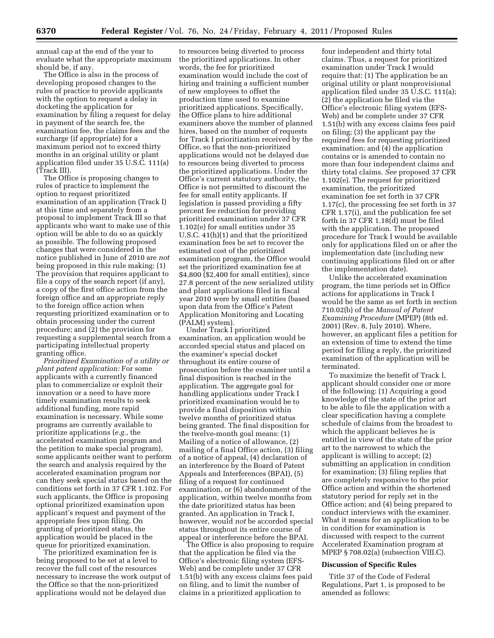annual cap at the end of the year to evaluate what the appropriate maximum should be, if any.

The Office is also in the process of developing proposed changes to the rules of practice to provide applicants with the option to request a delay in docketing the application for examination by filing a request for delay in payment of the search fee, the examination fee, the claims fees and the surcharge (if appropriate) for a maximum period not to exceed thirty months in an original utility or plant application filed under 35 U.S.C. 111(a) (Track III).

The Office is proposing changes to rules of practice to implement the option to request prioritized examination of an application (Track I) at this time and separately from a proposal to implement Track III so that applicants who want to make use of this option will be able to do so as quickly as possible. The following proposed changes that were considered in the notice published in June of 2010 are *not*  being proposed in this rule making: (1) The provision that requires applicant to file a copy of the search report (if any), a copy of the first office action from the foreign office and an appropriate reply to the foreign office action when requesting prioritized examination or to obtain processing under the current procedure; and (2) the provision for requesting a supplemental search from a participating intellectual property granting office.

*Prioritized Examination of a utility or plant patent application:* For some applicants with a currently financed plan to commercialize or exploit their innovation or a need to have more timely examination results to seek additional funding, more rapid examination is necessary. While some programs are currently available to prioritize applications (*e.g.,* the accelerated examination program and the petition to make special program), some applicants neither want to perform the search and analysis required by the accelerated examination program nor can they seek special status based on the conditions set forth in 37 CFR 1.102. For such applicants, the Office is proposing optional prioritized examination upon applicant's request and payment of the appropriate fees upon filing. On granting of prioritized status, the application would be placed in the queue for prioritized examination.

The prioritized examination fee is being proposed to be set at a level to recover the full cost of the resources necessary to increase the work output of the Office so that the non-prioritized applications would not be delayed due

to resources being diverted to process the prioritized applications. In other words, the fee for prioritized examination would include the cost of hiring and training a sufficient number of new employees to offset the production time used to examine prioritized applications. Specifically, the Office plans to hire additional examiners above the number of planned hires, based on the number of requests for Track I prioritization received by the Office, so that the non-prioritized applications would not be delayed due to resources being diverted to process the prioritized applications. Under the Office's current statutory authority, the Office is not permitted to discount the fee for small entity applicants. If legislation is passed providing a fifty percent fee reduction for providing prioritized examination under 37 CFR 1.102(e) for small entities under 35 U.S.C. 41(h)(1) and that the prioritized examination fees be set to recover the estimated cost of the prioritized examination program, the Office would set the prioritized examination fee at \$4,800 (\$2,400 for small entities), since 27.8 percent of the new serialized utility and plant applications filed in fiscal year 2010 were by small entities (based upon data from the Office's Patent Application Monitoring and Locating (PALM) system).

Under Track I prioritized examination, an application would be accorded special status and placed on the examiner's special docket throughout its entire course of prosecution before the examiner until a final disposition is reached in the application. The aggregate goal for handling applications under Track I prioritized examination would be to provide a final disposition within twelve months of prioritized status being granted. The final disposition for the twelve-month goal means: (1) Mailing of a notice of allowance, (2) mailing of a final Office action, (3) filing of a notice of appeal, (4) declaration of an interference by the Board of Patent Appeals and Interferences (BPAI), (5) filing of a request for continued examination, or (6) abandonment of the application, within twelve months from the date prioritized status has been granted. An application in Track I, however, would *not* be accorded special status throughout its entire course of appeal or interference before the BPAI.

The Office is also proposing to require that the application be filed via the Office's electronic filing system (EFS-Web) and be complete under 37 CFR 1.51(b) with any excess claims fees paid on filing, and to limit the number of claims in a prioritized application to

four independent and thirty total claims. Thus, a request for prioritized examination under Track I would require that: (1) The application be an original utility or plant nonprovisional application filed under 35 U.S.C. 111(a); (2) the application be filed via the Office's electronic filing system (EFS-Web) and be complete under 37 CFR 1.51(b) with any excess claims fees paid on filing; (3) the applicant pay the required fees for requesting prioritized examination; and (4) the application contains or is amended to contain no more than four independent claims and thirty total claims. *See* proposed 37 CFR 1.102(e). The request for prioritized examination, the prioritized examination fee set forth in 37 CFR 1.17(c), the processing fee set forth in 37 CFR 1.17(i), and the publication fee set forth in 37 CFR 1.18(d) must be filed with the application. The proposed procedure for Track I would be available only for applications filed on or after the implementation date (including new continuing applications filed on or after the implementation date).

Unlike the accelerated examination program, the time periods set in Office actions for applications in Track I would be the same as set forth in section 710.02(b) of the *Manual of Patent Examining Procedure* (MPEP) (8th ed. 2001) (Rev. 8, July 2010). Where, however, an applicant files a petition for an extension of time to extend the time period for filing a reply, the prioritized examination of the application will be terminated.

To maximize the benefit of Track I, applicant should consider one or more of the following: (1) Acquiring a good knowledge of the state of the prior art to be able to file the application with a clear specification having a complete schedule of claims from the broadest to which the applicant believes he is entitled in view of the state of the prior art to the narrowest to which the applicant is willing to accept; (2) submitting an application in condition for examination; (3) filing replies that are completely responsive to the prior Office action and within the shortened statutory period for reply set in the Office action; and (4) being prepared to conduct interviews with the examiner. What it means for an application to be in condition for examination is discussed with respect to the current Accelerated Examination program at MPEP § 708.02(a) (subsection VIII.C).

#### **Discussion of Specific Rules**

Title 37 of the Code of Federal Regulations, Part 1, is proposed to be amended as follows: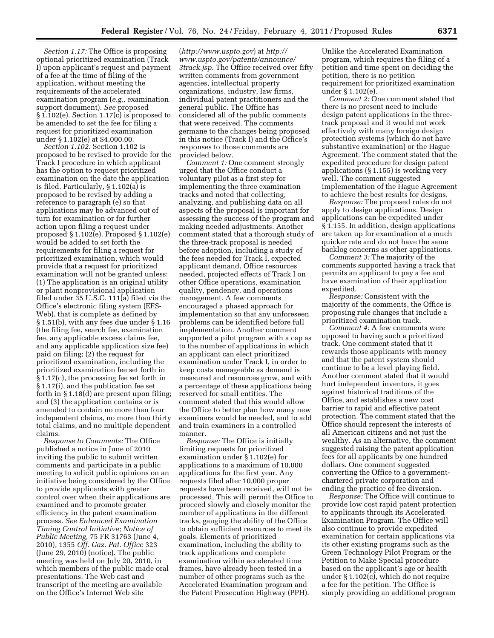*Section 1.17:* The Office is proposing optional prioritized examination (Track I) upon applicant's request and payment of a fee at the time of filing of the application, without meeting the requirements of the accelerated examination program (*e.g.,* examination support document). *See* proposed § 1.102(e). Section 1.17(c) is proposed to be amended to set the fee for filing a request for prioritized examination under § 1.102(e) at \$4,000.00.

*Section 1.102:* Section 1.102 is proposed to be revised to provide for the Track I procedure in which applicant has the option to request prioritized examination on the date the application is filed. Particularly, § 1.102(a) is proposed to be revised by adding a reference to paragraph (e) so that applications may be advanced out of turn for examination or for further action upon filing a request under proposed § 1.102(e). Proposed § 1.102(e) would be added to set forth the requirements for filing a request for prioritized examination, which would provide that a request for prioritized examination will not be granted unless: (1) The application is an original utility or plant nonprovisional application filed under 35 U.S.C. 111(a) filed via the Office's electronic filing system (EFS-Web), that is complete as defined by § 1.51(b), with any fees due under § 1.16 (the filing fee, search fee, examination fee, any applicable excess claims fee, and any applicable application size fee) paid on filing; (2) the request for prioritized examination, including the prioritized examination fee set forth in § 1.17(c), the processing fee set forth in § 1.17(i), and the publication fee set forth in § 1.18(d) are present upon filing; and (3) the application contains or is amended to contain no more than four independent claims, no more than thirty total claims, and no multiple dependent claims.

*Response to Comments:* The Office published a notice in June of 2010 inviting the public to submit written comments and participate in a public meeting to solicit public opinions on an initiative being considered by the Office to provide applicants with greater control over when their applications are examined and to promote greater efficiency in the patent examination process. *See Enhanced Examination Timing Control Initiative; Notice of Public Meeting,* 75 FR 31763 (June 4, 2010), 1355 *Off. Gaz. Pat. Office* 323 (June 29, 2010) (notice). The public meeting was held on July 20, 2010, in which members of the public made oral presentations. The Web cast and transcript of the meeting are available on the Office's Internet Web site

(*<http://www.uspto.gov>*) at *[http://](http://www.uspto.gov/patents/announce/3track.jsp) [www.uspto.gov/patents/announce/](http://www.uspto.gov/patents/announce/3track.jsp)  [3track.jsp.](http://www.uspto.gov/patents/announce/3track.jsp)* The Office received over fifty written comments from government agencies, intellectual property organizations, industry, law firms, individual patent practitioners and the general public. The Office has considered all of the public comments that were received. The comments germane to the changes being proposed in this notice (Track I) and the Office's responses to those comments are provided below.

*Comment 1:* One comment strongly urged that the Office conduct a voluntary pilot as a first step for implementing the three examination tracks and noted that collecting, analyzing, and publishing data on all aspects of the proposal is important for assessing the success of the program and making needed adjustments. Another comment stated that a thorough study of the three-track proposal is needed before adoption, including a study of the fees needed for Track I, expected applicant demand, Office resources needed, projected effects of Track I on other Office operations, examination quality, pendency, and operations management. A few comments encouraged a phased approach for implementation so that any unforeseen problems can be identified before full implementation. Another comment supported a pilot program with a cap as to the number of applications in which an applicant can elect prioritized examination under Track I, in order to keep costs manageable as demand is measured and resources grow, and with a percentage of these applications being reserved for small entities. The comment stated that this would allow the Office to better plan how many new examiners would be needed, and to add and train examiners in a controlled manner.

*Response:* The Office is initially limiting requests for prioritized examination under § 1.102(e) for applications to a maximum of 10,000 applications for the first year. Any requests filed after 10,000 proper requests have been received, will not be processed. This will permit the Office to proceed slowly and closely monitor the number of applications in the different tracks, gauging the ability of the Office to obtain sufficient resources to meet its goals. Elements of prioritized examination, including the ability to track applications and complete examination within accelerated time frames, have already been tested in a number of other programs such as the Accelerated Examination program and the Patent Prosecution Highway (PPH).

Unlike the Accelerated Examination program, which requires the filing of a petition and time spent on deciding the petition, there is no petition requirement for prioritized examination under § 1.102(e).

*Comment 2:* One comment stated that there is no present need to include design patent applications in the threetrack proposal and it would not work effectively with many foreign design protection systems (which do not have substantive examination) or the Hague Agreement. The comment stated that the expedited procedure for design patent applications (§ 1.155) is working very well. The comment suggested implementation of the Hague Agreement to achieve the best results for designs.

*Response:* The proposed rules do not apply to design applications. Design applications can be expedited under § 1.155. In addition, design applications are taken up for examination at a much quicker rate and do not have the same backlog concerns as other applications.

*Comment 3:* The majority of the comments supported having a track that permits an applicant to pay a fee and have examination of their application expedited.

*Response:* Consistent with the majority of the comments, the Office is proposing rule changes that include a prioritized examination track.

*Comment 4:* A few comments were opposed to having such a prioritized track. One comment stated that it rewards those applicants with money and that the patent system should continue to be a level playing field. Another comment stated that it would hurt independent inventors, it goes against historical traditions of the Office, and establishes a new cost barrier to rapid and effective patent protection. The comment stated that the Office should represent the interests of all American citizens and not just the wealthy. As an alternative, the comment suggested raising the patent application fees for all applicants by one hundred dollars. One comment suggested converting the Office to a governmentchartered private corporation and ending the practice of fee diversion.

*Response:* The Office will continue to provide low cost rapid patent protection to applicants through its Accelerated Examination Program. The Office will also continue to provide expedited examination for certain applications via its other existing programs such as the Green Technology Pilot Program or the Petition to Make Special procedure based on the applicant's age or health under § 1.102(c), which do not require a fee for the petition. The Office is simply providing an additional program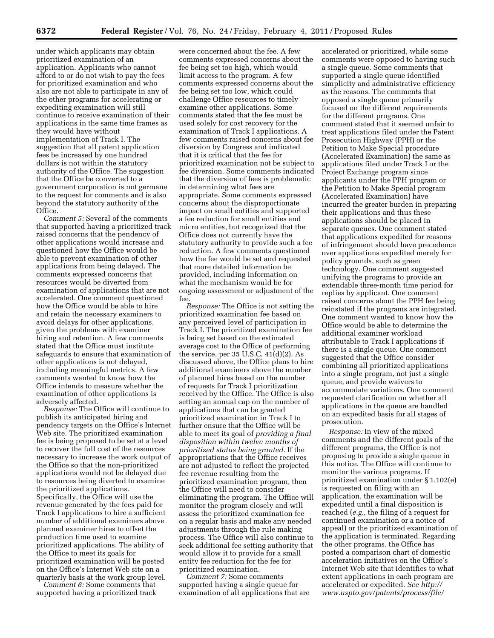under which applicants may obtain prioritized examination of an application. Applicants who cannot afford to or do not wish to pay the fees for prioritized examination and who also are not able to participate in any of the other programs for accelerating or expediting examination will still continue to receive examination of their applications in the same time frames as they would have without implementation of Track I. The suggestion that all patent application fees be increased by one hundred dollars is not within the statutory authority of the Office. The suggestion that the Office be converted to a government corporation is not germane to the request for comments and is also beyond the statutory authority of the Office.

*Comment 5:* Several of the comments that supported having a prioritized track raised concerns that the pendency of other applications would increase and questioned how the Office would be able to prevent examination of other applications from being delayed. The comments expressed concerns that resources would be diverted from examination of applications that are not accelerated. One comment questioned how the Office would be able to hire and retain the necessary examiners to avoid delays for other applications, given the problems with examiner hiring and retention. A few comments stated that the Office must institute safeguards to ensure that examination of other applications is not delayed, including meaningful metrics. A few comments wanted to know how the Office intends to measure whether the examination of other applications is adversely affected.

*Response:* The Office will continue to publish its anticipated hiring and pendency targets on the Office's Internet Web site. The prioritized examination fee is being proposed to be set at a level to recover the full cost of the resources necessary to increase the work output of the Office so that the non-prioritized applications would not be delayed due to resources being diverted to examine the prioritized applications. Specifically, the Office will use the revenue generated by the fees paid for Track I applications to hire a sufficient number of additional examiners above planned examiner hires to offset the production time used to examine prioritized applications. The ability of the Office to meet its goals for prioritized examination will be posted on the Office's Internet Web site on a quarterly basis at the work group level. *Comment 6:* Some comments that

supported having a prioritized track

were concerned about the fee. A few comments expressed concerns about the fee being set too high, which would limit access to the program. A few comments expressed concerns about the fee being set too low, which could challenge Office resources to timely examine other applications. Some comments stated that the fee must be used solely for cost recovery for the examination of Track I applications. A few comments raised concerns about fee diversion by Congress and indicated that it is critical that the fee for prioritized examination not be subject to fee diversion. Some comments indicated that the diversion of fees is problematic in determining what fees are appropriate. Some comments expressed concerns about the disproportionate impact on small entities and supported a fee reduction for small entities and micro entities, but recognized that the Office does not currently have the statutory authority to provide such a fee reduction. A few comments questioned how the fee would be set and requested that more detailed information be provided, including information on what the mechanism would be for ongoing assessment or adjustment of the fee.

*Response:* The Office is not setting the prioritized examination fee based on any perceived level of participation in Track I. The prioritized examination fee is being set based on the estimated average cost to the Office of performing the service, per 35 U.S.C.  $41(d)(2)$ . As discussed above, the Office plans to hire additional examiners above the number of planned hires based on the number of requests for Track I prioritization received by the Office. The Office is also setting an annual cap on the number of applications that can be granted prioritized examination in Track I to further ensure that the Office will be able to meet its goal of *providing a final disposition within twelve months of prioritized status being granted.* If the appropriations that the Office receives are not adjusted to reflect the projected fee revenue resulting from the prioritized examination program, then the Office will need to consider eliminating the program. The Office will monitor the program closely and will assess the prioritized examination fee on a regular basis and make any needed adjustments through the rule making process. The Office will also continue to seek additional fee setting authority that would allow it to provide for a small entity fee reduction for the fee for prioritized examination.

*Comment 7:* Some comments supported having a single queue for examination of all applications that are

accelerated or prioritized, while some comments were opposed to having such a single queue. Some comments that supported a single queue identified simplicity and administrative efficiency as the reasons. The comments that opposed a single queue primarily focused on the different requirements for the different programs. One comment stated that it seemed unfair to treat applications filed under the Patent Prosecution Highway (PPH) or the Petition to Make Special procedure (Accelerated Examination) the same as applications filed under Track I or the Project Exchange program since applicants under the PPH program or the Petition to Make Special program (Accelerated Examination) have incurred the greater burden in preparing their applications and thus these applications should be placed in separate queues. One comment stated that applications expedited for reasons of infringement should have precedence over applications expedited merely for policy grounds, such as green technology. One comment suggested unifying the programs to provide an extendable three-month time period for replies by applicant. One comment raised concerns about the PPH fee being reinstated if the programs are integrated. One comment wanted to know how the Office would be able to determine the additional examiner workload attributable to Track I applications if there is a single queue. One comment suggested that the Office consider combining all prioritized applications into a single program, not just a single queue, and provide waivers to accommodate variations. One comment requested clarification on whether all applications in the queue are handled on an expedited basis for all stages of prosecution.

*Response:* In view of the mixed comments and the different goals of the different programs, the Office is not proposing to provide a single queue in this notice. The Office will continue to monitor the various programs. If prioritized examination under § 1.102(e) is requested on filing with an application, the examination will be expedited until a final disposition is reached (*e.g.,* the filing of a request for continued examination or a notice of appeal) or the prioritized examination of the application is terminated. Regarding the other programs, the Office has posted a comparison chart of domestic acceleration initiatives on the Office's Internet Web site that identifies to what extent applications in each program are accelerated or expedited. *See [http://](http://www.uspto.gov/patents/process/file/) [www.uspto.gov/patents/process/file/](http://www.uspto.gov/patents/process/file/)*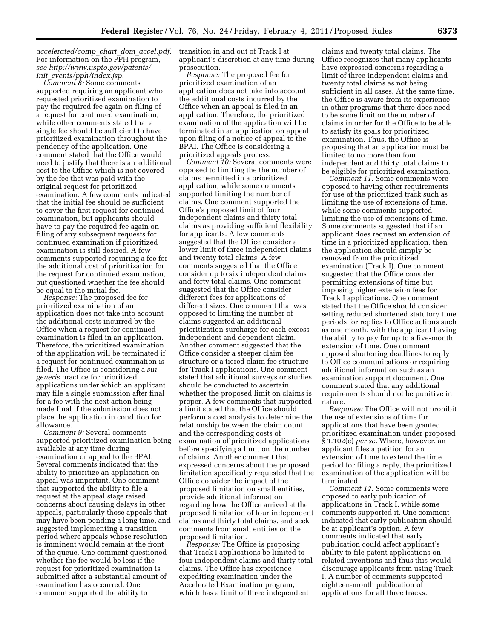*accelerated/comp*\_*chart*\_*dom*\_*accel.pdf.*  For information on the PPH program, *see [http://www.uspto.gov/patents/](http://www.uspto.gov/patents/init_events/pph/index.jsp) init*\_*[events/pph/index.jsp.](http://www.uspto.gov/patents/init_events/pph/index.jsp)* 

*Comment 8:* Some comments supported requiring an applicant who requested prioritized examination to pay the required fee again on filing of a request for continued examination, while other comments stated that a single fee should be sufficient to have prioritized examination throughout the pendency of the application. One comment stated that the Office would need to justify that there is an additional cost to the Office which is not covered by the fee that was paid with the original request for prioritized examination. A few comments indicated that the initial fee should be sufficient to cover the first request for continued examination, but applicants should have to pay the required fee again on filing of any subsequent requests for continued examination if prioritized examination is still desired. A few comments supported requiring a fee for the additional cost of prioritization for the request for continued examination, but questioned whether the fee should be equal to the initial fee.

*Response:* The proposed fee for prioritized examination of an application does not take into account the additional costs incurred by the Office when a request for continued examination is filed in an application. Therefore, the prioritized examination of the application will be terminated if a request for continued examination is filed. The Office is considering a *sui generis* practice for prioritized applications under which an applicant may file a single submission after final for a fee with the next action being made final if the submission does not place the application in condition for allowance.

*Comment 9:* Several comments supported prioritized examination being available at any time during examination or appeal to the BPAI. Several comments indicated that the ability to prioritize an application on appeal was important. One comment that supported the ability to file a request at the appeal stage raised concerns about causing delays in other appeals, particularly those appeals that may have been pending a long time, and suggested implementing a transition period where appeals whose resolution is imminent would remain at the front of the queue. One comment questioned whether the fee would be less if the request for prioritized examination is submitted after a substantial amount of examination has occurred. One comment supported the ability to

transition in and out of Track I at applicant's discretion at any time during prosecution.

*Response:* The proposed fee for prioritized examination of an application does not take into account the additional costs incurred by the Office when an appeal is filed in an application. Therefore, the prioritized examination of the application will be terminated in an application on appeal upon filing of a notice of appeal to the BPAI. The Office is considering a prioritized appeals process.

*Comment 10:* Several comments were opposed to limiting the the number of claims permitted in a prioritized application, while some comments supported limiting the number of claims. One comment supported the Office's proposed limit of four independent claims and thirty total claims as providing sufficient flexibility for applicants. A few comments suggested that the Office consider a lower limit of three independent claims and twenty total claims. A few comments suggested that the Office consider up to six independent claims and forty total claims. One comment suggested that the Office consider different fees for applications of different sizes. One comment that was opposed to limiting the number of claims suggested an additional prioritization surcharge for each excess independent and dependent claim. Another comment suggested that the Office consider a steeper claim fee structure or a tiered claim fee structure for Track I applications. One comment stated that additional surveys or studies should be conducted to ascertain whether the proposed limit on claims is proper. A few comments that supported a limit stated that the Office should perform a cost analysis to determine the relationship between the claim count and the corresponding costs of examination of prioritized applications before specifying a limit on the number of claims. Another comment that expressed concerns about the proposed limitation specifically requested that the Office consider the impact of the proposed limitation on small entities, provide additional information regarding how the Office arrived at the proposed limitation of four independent claims and thirty total claims, and seek comments from small entities on the proposed limitation.

*Response:* The Office is proposing that Track I applications be limited to four independent claims and thirty total claims. The Office has experience expediting examination under the Accelerated Examination program, which has a limit of three independent

claims and twenty total claims. The Office recognizes that many applicants have expressed concerns regarding a limit of three independent claims and twenty total claims as not being sufficient in all cases. At the same time, the Office is aware from its experience in other programs that there does need to be some limit on the number of claims in order for the Office to be able to satisfy its goals for prioritized examination. Thus, the Office is proposing that an application must be limited to no more than four independent and thirty total claims to be eligible for prioritized examination.

*Comment 11:* Some comments were opposed to having other requirements for use of the prioritized track such as limiting the use of extensions of time, while some comments supported limiting the use of extensions of time. Some comments suggested that if an applicant does request an extension of time in a prioritized application, then the application should simply be removed from the prioritized examination (Track I). One comment suggested that the Office consider permitting extensions of time but imposing higher extension fees for Track I applications. One comment stated that the Office should consider setting reduced shortened statutory time periods for replies to Office actions such as one month, with the applicant having the ability to pay for up to a five-month extension of time. One comment opposed shortening deadlines to reply to Office communications or requiring additional information such as an examination support document. One comment stated that any additional requirements should not be punitive in nature.

*Response:* The Office will not prohibit the use of extensions of time for applications that have been granted prioritized examination under proposed § 1.102(e) *per se.* Where, however, an applicant files a petition for an extension of time to extend the time period for filing a reply, the prioritized examination of the application will be terminated.

*Comment 12:* Some comments were opposed to early publication of applications in Track I, while some comments supported it. One comment indicated that early publication should be at applicant's option. A few comments indicated that early publication could affect applicant's ability to file patent applications on related inventions and thus this would discourage applicants from using Track I. A number of comments supported eighteen-month publication of applications for all three tracks.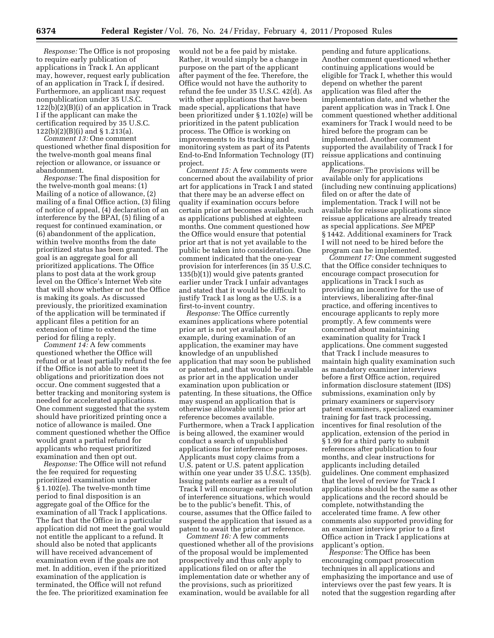*Response:* The Office is not proposing to require early publication of applications in Track I. An applicant may, however, request early publication of an application in Track I, if desired. Furthermore, an applicant may request nonpublication under 35 U.S.C. 122(b)(2)(B)(i) of an application in Track I if the applicant can make the certification required by 35 U.S.C. 122(b)(2)(B)(i) and § 1.213(a).

*Comment 13:* One comment questioned whether final disposition for the twelve-month goal means final rejection or allowance, or issuance or abandonment.

*Response:* The final disposition for the twelve-month goal means: (1) Mailing of a notice of allowance, (2) mailing of a final Office action, (3) filing of notice of appeal, (4) declaration of an interference by the BPAI, (5) filing of a request for continued examination, or (6) abandonment of the application, within twelve months from the date prioritized status has been granted. The goal is an aggregate goal for all prioritized applications. The Office plans to post data at the work group level on the Office's Internet Web site that will show whether or not the Office is making its goals. As discussed previously, the prioritized examination of the application will be terminated if applicant files a petition for an extension of time to extend the time period for filing a reply.

*Comment 14:* A few comments questioned whether the Office will refund or at least partially refund the fee if the Office is not able to meet its obligations and prioritization does not occur. One comment suggested that a better tracking and monitoring system is needed for accelerated applications. One comment suggested that the system should have prioritized printing once a notice of allowance is mailed. One comment questioned whether the Office would grant a partial refund for applicants who request prioritized examination and then opt out.

*Response:* The Office will not refund the fee required for requesting prioritized examination under § 1.102(e). The twelve-month time period to final disposition is an aggregate goal of the Office for the examination of all Track I applications. The fact that the Office in a particular application did not meet the goal would not entitle the applicant to a refund. It should also be noted that applicants will have received advancement of examination even if the goals are not met. In addition, even if the prioritized examination of the application is terminated, the Office will not refund the fee. The prioritized examination fee

would not be a fee paid by mistake. Rather, it would simply be a change in purpose on the part of the applicant after payment of the fee. Therefore, the Office would not have the authority to refund the fee under 35 U.S.C. 42(d). As with other applications that have been made special, applications that have been prioritized under § 1.102(e) will be prioritized in the patent publication process. The Office is working on improvements to its tracking and monitoring system as part of its Patents End-to-End Information Technology (IT) project.

*Comment 15:* A few comments were concerned about the availability of prior art for applications in Track I and stated that there may be an adverse effect on quality if examination occurs before certain prior art becomes available, such as applications published at eighteen months. One comment questioned how the Office would ensure that potential prior art that is not yet available to the public be taken into consideration. One comment indicated that the one-year provision for interferences (in 35 U.S.C. 135(b)(1)) would give patents granted earlier under Track I unfair advantages and stated that it would be difficult to justify Track I as long as the U.S. is a first-to-invent country.

*Response:* The Office currently examines applications where potential prior art is not yet available. For example, during examination of an application, the examiner may have knowledge of an unpublished application that may soon be published or patented, and that would be available as prior art in the application under examination upon publication or patenting. In these situations, the Office may suspend an application that is otherwise allowable until the prior art reference becomes available. Furthermore, when a Track I application is being allowed, the examiner would conduct a search of unpublished applications for interference purposes. Applicants must copy claims from a U.S. patent or U.S. patent application within one year under 35 U.S.C. 135(b). Issuing patents earlier as a result of Track I will encourage earlier resolution of interference situations, which would be to the public's benefit. This, of course, assumes that the Office failed to suspend the application that issued as a patent to await the prior art reference.

*Comment 16:* A few comments questioned whether all of the provisions of the proposal would be implemented prospectively and thus only apply to applications filed on or after the implementation date or whether any of the provisions, such as prioritized examination, would be available for all

pending and future applications. Another comment questioned whether continuing applications would be eligible for Track I, whether this would depend on whether the parent application was filed after the implementation date, and whether the parent application was in Track I. One comment questioned whether additional examiners for Track I would need to be hired before the program can be implemented. Another comment supported the availability of Track I for reissue applications and continuing applications.

*Response:* The provisions will be available only for applications (including new continuing applications) filed on or after the date of implementation. Track I will not be available for reissue applications since reissue applications are already treated as special applications. *See* MPEP § 1442. Additional examiners for Track I will not need to be hired before the program can be implemented.

*Comment 17:* One comment suggested that the Office consider techniques to encourage compact prosecution for applications in Track I such as providing an incentive for the use of interviews, liberalizing after-final practice, and offering incentives to encourage applicants to reply more promptly. A few comments were concerned about maintaining examination quality for Track I applications. One comment suggested that Track I include measures to maintain high quality examination such as mandatory examiner interviews before a first Office action, required information disclosure statement (IDS) submissions, examination only by primary examiners or supervisory patent examiners, specialized examiner training for fast track processing, incentives for final resolution of the application, extension of the period in § 1.99 for a third party to submit references after publication to four months, and clear instructions for applicants including detailed guidelines. One comment emphasized that the level of review for Track I applications should be the same as other applications and the record should be complete, notwithstanding the accelerated time frame. A few other comments also supported providing for an examiner interview prior to a first Office action in Track I applications at applicant's option.

*Response:* The Office has been encouraging compact prosecution techniques in all applications and emphasizing the importance and use of interviews over the past few years. It is noted that the suggestion regarding after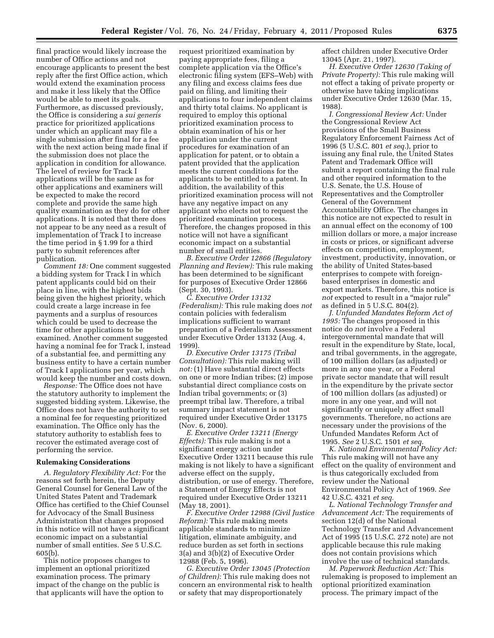final practice would likely increase the number of Office actions and not encourage applicants to present the best reply after the first Office action, which would extend the examination process and make it less likely that the Office would be able to meet its goals. Furthermore, as discussed previously, the Office is considering a *sui generis*  practice for prioritized applications under which an applicant may file a single submission after final for a fee with the next action being made final if the submission does not place the application in condition for allowance. The level of review for Track I applications will be the same as for other applications and examiners will be expected to make the record complete and provide the same high quality examination as they do for other applications. It is noted that there does not appear to be any need as a result of implementation of Track I to increase the time period in § 1.99 for a third party to submit references after publication.

*Comment 18:* One comment suggested a bidding system for Track I in which patent applicants could bid on their place in line, with the highest bids being given the highest priority, which could create a large increase in fee payments and a surplus of resources which could be used to decrease the time for other applications to be examined. Another comment suggested having a nominal fee for Track I, instead of a substantial fee, and permitting any business entity to have a certain number of Track I applications per year, which would keep the number and costs down.

*Response:* The Office does not have the statutory authority to implement the suggested bidding system. Likewise, the Office does not have the authority to set a nominal fee for requesting prioritized examination. The Office only has the statutory authority to establish fees to recover the estimated average cost of performing the service.

#### **Rulemaking Considerations**

*A. Regulatory Flexibility Act:* For the reasons set forth herein, the Deputy General Counsel for General Law of the United States Patent and Trademark Office has certified to the Chief Counsel for Advocacy of the Small Business Administration that changes proposed in this notice will not have a significant economic impact on a substantial number of small entities. *See* 5 U.S.C. 605(b).

This notice proposes changes to implement an optional prioritized examination process. The primary impact of the change on the public is that applicants will have the option to

request prioritized examination by paying appropriate fees, filing a complete application via the Office's electronic filing system (EFS–Web) with any filing and excess claims fees due paid on filing, and limiting their applications to four independent claims and thirty total claims. No applicant is required to employ this optional prioritized examination process to obtain examination of his or her application under the current procedures for examination of an application for patent, or to obtain a patent provided that the application meets the current conditions for the applicants to be entitled to a patent. In addition, the availability of this prioritized examination process will not have any negative impact on any applicant who elects not to request the prioritized examination process. Therefore, the changes proposed in this notice will not have a significant economic impact on a substantial number of small entities.

*B. Executive Order 12866 (Regulatory Planning and Review):* This rule making has been determined to be significant for purposes of Executive Order 12866 (Sept. 30, 1993).

*C. Executive Order 13132 (Federalism):* This rule making does *not*  contain policies with federalism implications sufficient to warrant preparation of a Federalism Assessment under Executive Order 13132 (Aug. 4, 1999).

*D. Executive Order 13175 (Tribal Consultation):* This rule making will *not:* (1) Have substantial direct effects on one or more Indian tribes; (2) impose substantial direct compliance costs on Indian tribal governments; or (3) preempt tribal law. Therefore, a tribal summary impact statement is not required under Executive Order 13175 (Nov. 6, 2000).

*E. Executive Order 13211 (Energy Effects):* This rule making is not a significant energy action under Executive Order 13211 because this rule making is not likely to have a significant adverse effect on the supply, distribution, or use of energy. Therefore, a Statement of Energy Effects is not required under Executive Order 13211 (May 18, 2001).

*F. Executive Order 12988 (Civil Justice Reform):* This rule making meets applicable standards to minimize litigation, eliminate ambiguity, and reduce burden as set forth in sections 3(a) and 3(b)(2) of Executive Order 12988 (Feb. 5, 1996).

*G. Executive Order 13045 (Protection of Children):* This rule making does not concern an environmental risk to health or safety that may disproportionately

affect children under Executive Order 13045 (Apr. 21, 1997).

*H. Executive Order 12630 (Taking of Private Property):* This rule making will not effect a taking of private property or otherwise have taking implications under Executive Order 12630 (Mar. 15, 1988).

*I. Congressional Review Act:* Under the Congressional Review Act provisions of the Small Business Regulatory Enforcement Fairness Act of 1996 (5 U.S.C. 801 *et seq.*), prior to issuing any final rule, the United States Patent and Trademark Office will submit a report containing the final rule and other required information to the U.S. Senate, the U.S. House of Representatives and the Comptroller General of the Government Accountability Office. The changes in this notice are not expected to result in an annual effect on the economy of 100 million dollars or more, a major increase in costs or prices, or significant adverse effects on competition, employment, investment, productivity, innovation, or the ability of United States-based enterprises to compete with foreignbased enterprises in domestic and export markets. Therefore, this notice is not expected to result in a "major rule" as defined in 5 U.S.C. 804(2).

*J. Unfunded Mandates Reform Act of 1995:* The changes proposed in this notice do *not* involve a Federal intergovernmental mandate that will result in the expenditure by State, local, and tribal governments, in the aggregate, of 100 million dollars (as adjusted) or more in any one year, or a Federal private sector mandate that will result in the expenditure by the private sector of 100 million dollars (as adjusted) or more in any one year, and will not significantly or uniquely affect small governments. Therefore, no actions are necessary under the provisions of the Unfunded Mandates Reform Act of 1995. *See* 2 U.S.C. 1501 *et seq.* 

*K. National Environmental Policy Act:*  This rule making will not have any effect on the quality of environment and is thus categorically excluded from review under the National Environmental Policy Act of 1969. *See*  42 U.S.C. 4321 *et seq.* 

*L. National Technology Transfer and Advancement Act:* The requirements of section 12(d) of the National Technology Transfer and Advancement Act of 1995 (15 U.S.C. 272 note) are not applicable because this rule making does not contain provisions which involve the use of technical standards.

*M. Paperwork Reduction Act:* This rulemaking is proposed to implement an optional prioritized examination process. The primary impact of the